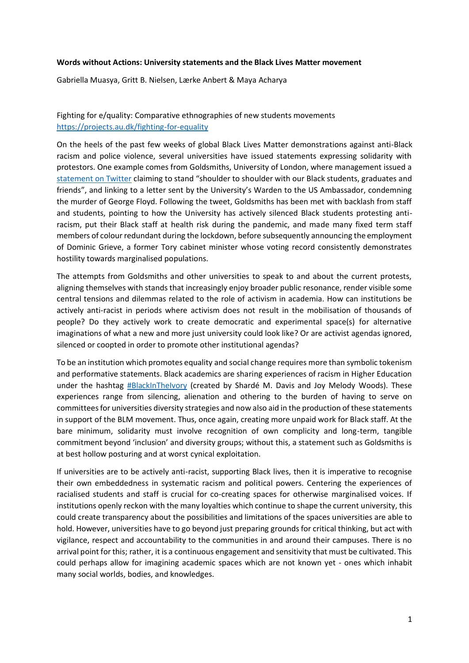## **Words without Actions: University statements and the Black Lives Matter movement**

Gabriella Muasya, Gritt B. Nielsen, Lærke Anbert & Maya Acharya

## Fighting for e/quality: Comparative ethnographies of new students movements <https://projects.au.dk/fighting-for-equality>

On the heels of the past few weeks of global Black Lives Matter demonstrations against anti-Black racism and police violence, several universities have issued statements expressing solidarity with protestors. One example comes from Goldsmiths, University of London, where management issued a [statement on Twitter](https://twitter.com/GoldsmithsUoL/status/1267809448560439297?s=20) claiming to stand "shoulder to shoulder with our Black students, graduates and friends", and linking to a letter sent by the University's Warden to the US Ambassador, condemning the murder of George Floyd. Following the tweet, Goldsmiths has been met with backlash from staff and students, pointing to how the University has actively silenced Black students protesting antiracism, put their Black staff at health risk during the pandemic, and made many fixed term staff members of colour redundant during the lockdown, before subsequently announcing the employment of Dominic Grieve, a former Tory cabinet minister whose voting record consistently demonstrates hostility towards marginalised populations.

The attempts from Goldsmiths and other universities to speak to and about the current protests, aligning themselves with stands that increasingly enjoy broader public resonance, render visible some central tensions and dilemmas related to the role of activism in academia. How can institutions be actively anti-racist in periods where activism does not result in the mobilisation of thousands of people? Do they actively work to create democratic and experimental space(s) for alternative imaginations of what a new and more just university could look like? Or are activist agendas ignored, silenced or coopted in order to promote other institutional agendas?

To be an institution which promotes equality and social change requires more than symbolic tokenism and performative statements. Black academics are sharing experiences of racism in Higher Education under the hashtag [#BlackInTheIvory](https://twitter.com/blackintheivory) (created by Shardé M. Davis and Joy Melody Woods). These experiences range from silencing, alienation and othering to the burden of having to serve on committees for universities diversity strategies and now also aid in the production of these statements in support of the BLM movement. Thus, once again, creating more unpaid work for Black staff. At the bare minimum, solidarity must involve recognition of own complicity and long-term, tangible commitment beyond 'inclusion' and diversity groups; without this, a statement such as Goldsmiths is at best hollow posturing and at worst cynical exploitation.

If universities are to be actively anti-racist, supporting Black lives, then it is imperative to recognise their own embeddedness in systematic racism and political powers. Centering the experiences of racialised students and staff is crucial for co-creating spaces for otherwise marginalised voices. If institutions openly reckon with the many loyalties which continue to shape the current university, this could create transparency about the possibilities and limitations of the spaces universities are able to hold. However, universities have to go beyond just preparing grounds for critical thinking, but act with vigilance, respect and accountability to the communities in and around their campuses. There is no arrival point for this; rather, it is a continuous engagement and sensitivity that must be cultivated. This could perhaps allow for imagining academic spaces which are not known yet - ones which inhabit many social worlds, bodies, and knowledges.